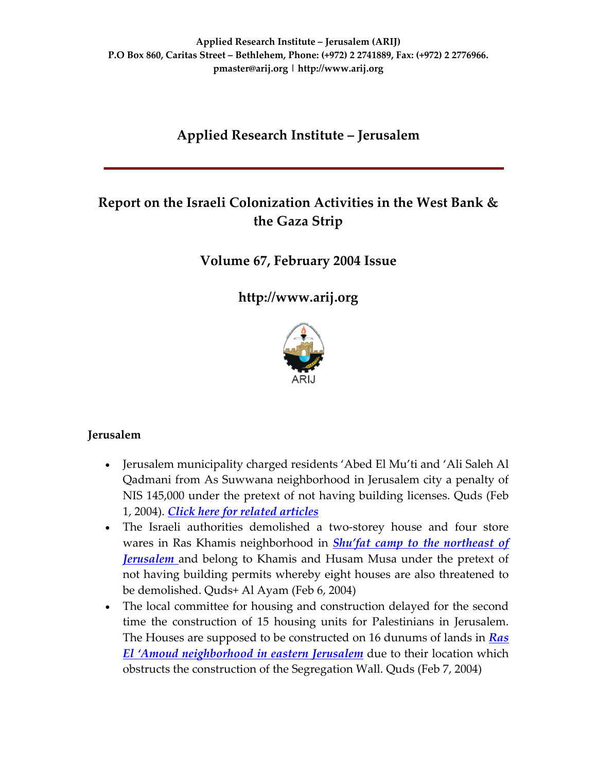# **Applied Research Institute – Jerusalem**

# **Report on the Israeli Colonization Activities in the West Bank & the Gaza Strip**

# **Volume 67, February 2004 Issue**

**[http://www.arij.org](http://www.arij.org/)**



### **Jerusalem**

- Jerusalem municipality charged residents 'Abed El Mu'ti and 'Ali Saleh Al Qadmani from As Suwwana neighborhood in Jerusalem city a penalty of NIS 145,000 under the pretext of not having building licenses. Quds (Feb 1, 2004). *Click here for related [articles](http://www.poica.org/editor/case_studies/view.php?recordID=351)*
- The Israeli authorities demolished a two-storey house and four store wares in Ras Khamis neighborhood in *Shu'fat camp to the [northeast](http://www.poica.org/editor/case_studies/view.php?recordID=332) of [Jerusalem](http://www.poica.org/editor/case_studies/view.php?recordID=332)* and belong to Khamis and Husam Musa under the pretext of not having building permits whereby eight houses are also threatened to be demolished. Quds+ Al Ayam (Feb 6, 2004)
- The local committee for housing and construction delayed for the second time the construction of 15 housing units for Palestinians in Jerusalem. The Houses are supposed to be constructed on 16 dunums of lands in *[Ras](http://www.poica.org/editor/case_studies/view.php?recordID=272) El 'Amoud [neighborhood](http://www.poica.org/editor/case_studies/view.php?recordID=272) in eastern Jerusalem* due to their location which obstructs the construction of the Segregation Wall. Quds (Feb 7, 2004)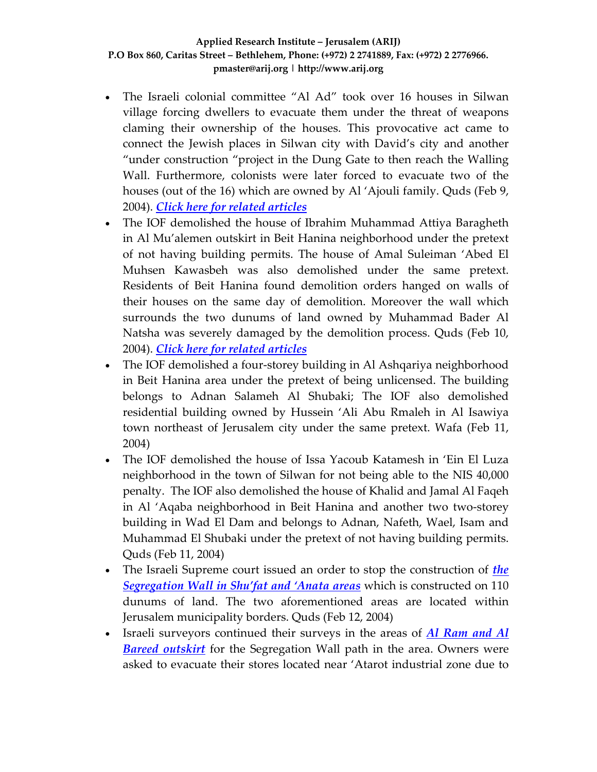- The Israeli colonial committee "Al Ad" took over 16 houses in Silwan village forcing dwellers to evacuate them under the threat of weapons claming their ownership of the houses. This provocative act came to connect the Jewish places in Silwan city with David's city and another "under construction "project in the Dung Gate to then reach the Walling Wall. Furthermore, colonists were later forced to evacuate two of the houses (out of the 16) which are owned by Al 'Ajouli family. Quds (Feb 9, 2004). *Click here for related [articles](http://www.poica.org/editor/case_studies/view.php?recordID=351)*
- The IOF demolished the house of Ibrahim Muhammad Attiya Baragheth in Al Mu'alemen outskirt in Beit Hanina neighborhood under the pretext of not having building permits. The house of Amal Suleiman 'Abed El Muhsen Kawasbeh was also demolished under the same pretext. Residents of Beit Hanina found demolition orders hanged on walls of their houses on the same day of demolition. Moreover the wall which surrounds the two dunums of land owned by Muhammad Bader Al Natsha was severely damaged by the demolition process. Quds (Feb 10, 2004). *Click here for related [articles](http://www.poica.org/editor/case_studies/view.php?recordID=351)*
- The IOF demolished a four-storey building in Al Ashqariya neighborhood in Beit Hanina area under the pretext of being unlicensed. The building belongs to Adnan Salameh Al Shubaki; The IOF also demolished residential building owned by Hussein 'Ali Abu Rmaleh in Al Isawiya town northeast of Jerusalem city under the same pretext. Wafa (Feb 11, 2004)
- The IOF demolished the house of Issa Yacoub Katamesh in 'Ein El Luza neighborhood in the town of Silwan for not being able to the NIS 40,000 penalty. The IOF also demolished the house of Khalid and Jamal Al Faqeh in Al 'Aqaba neighborhood in Beit Hanina and another two two‐storey building in Wad El Dam and belongs to Adnan, Nafeth, Wael, Isam and Muhammad El Shubaki under the pretext of not having building permits. Quds (Feb 11, 2004)
- The Israeli Supreme court issued an order to stop the construction of *[the](http://www.poica.org/editor/case_studies/view.php?recordID=332) [Segregation](http://www.poica.org/editor/case_studies/view.php?recordID=332) Wall in Shu'fat and 'Anata areas* which is constructed on 110 dunums of land. The two aforementioned areas are located within Jerusalem municipality borders. Quds (Feb 12, 2004)
- Israeli surveyors continued their surveys in the areas of *Al [Ram](http://www.poica.org/editor/case_studies/view.php?recordID=287) and Al Bareed [outskirt](http://www.poica.org/editor/case_studies/view.php?recordID=287)* for the Segregation Wall path in the area. Owners were asked to evacuate their stores located near 'Atarot industrial zone due to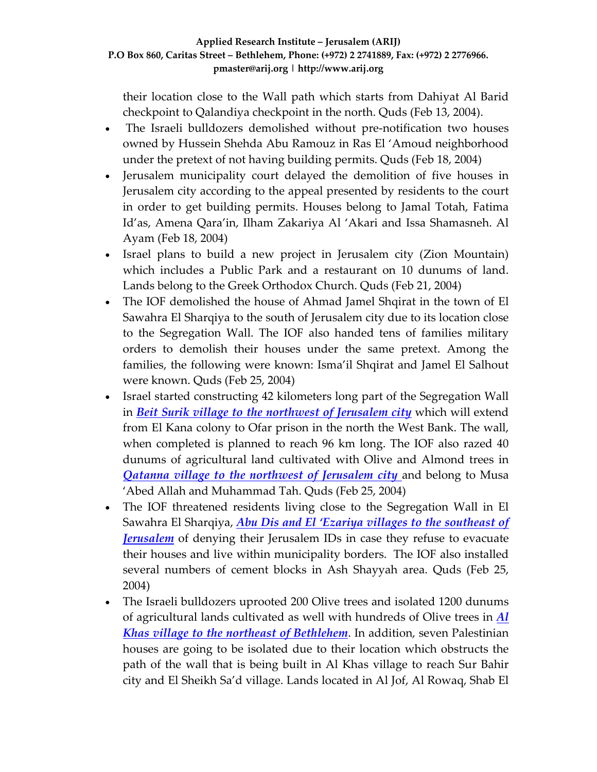their location close to the Wall path which starts from Dahiyat Al Barid checkpoint to Qalandiya checkpoint in the north. Quds (Feb 13, 2004).

- The Israeli bulldozers demolished without pre-notification two houses owned by Hussein Shehda Abu Ramouz in Ras El 'Amoud neighborhood under the pretext of not having building permits. Quds (Feb 18, 2004)
- Jerusalem municipality court delayed the demolition of five houses in Jerusalem city according to the appeal presented by residents to the court in order to get building permits. Houses belong to Jamal Totah, Fatima Id'as, Amena Qara'in, Ilham Zakariya Al 'Akari and Issa Shamasneh. Al Ayam (Feb 18, 2004)
- Israel plans to build a new project in Jerusalem city (Zion Mountain) which includes a Public Park and a restaurant on 10 dunums of land. Lands belong to the Greek Orthodox Church. Quds (Feb 21, 2004)
- The IOF demolished the house of Ahmad Jamel Shqirat in the town of El Sawahra El Sharqiya to the south of Jerusalem city due to its location close to the Segregation Wall. The IOF also handed tens of families military orders to demolish their houses under the same pretext. Among the families, the following were known: Isma'il Shqirat and Jamel El Salhout were known. Quds (Feb 25, 2004)
- Israel started constructing 42 kilometers long part of the Segregation Wall in *Beit Surik village to the [northwest](http://www.poica.org/editor/case_studies/view.php?recordID=329) of Jerusalem city* which will extend from El Kana colony to Ofar prison in the north the West Bank. The wall, when completed is planned to reach 96 km long. The IOF also razed 40 dunums of agricultural land cultivated with Olive and Almond trees in *Qatanna village to the [northwest](http://www.poica.org/editor/case_studies/view.php?recordID=314) of Jerusalem city* and belong to Musa 'Abed Allah and Muhammad Tah. Quds (Feb 25, 2004)
- The IOF threatened residents living close to the Segregation Wall in El Sawahra El Sharqiya, *Abu Dis and El 'Ezariya villages to the [southeast](http://www.poica.org/editor/case_studies/view.php?recordID=329) of [Jerusalem](http://www.poica.org/editor/case_studies/view.php?recordID=329)* of denying their Jerusalem IDs in case they refuse to evacuate their houses and live within municipality borders. The IOF also installed several numbers of cement blocks in Ash Shayyah area. Quds (Feb 25, 2004)
- The Israeli bulldozers uprooted 200 Olive trees and isolated 1200 dunums of agricultural lands cultivated as well with hundreds of Olive trees in *[Al](http://www.poica.org/editor/case_studies/view.php?recordID=296) Khas village to the northeast of [Bethlehem](http://www.poica.org/editor/case_studies/view.php?recordID=296)*. In addition, seven Palestinian houses are going to be isolated due to their location which obstructs the path of the wall that is being built in Al Khas village to reach Sur Bahir city and El Sheikh Sa'd village. Lands located in Al Jof, Al Rowaq, Shab El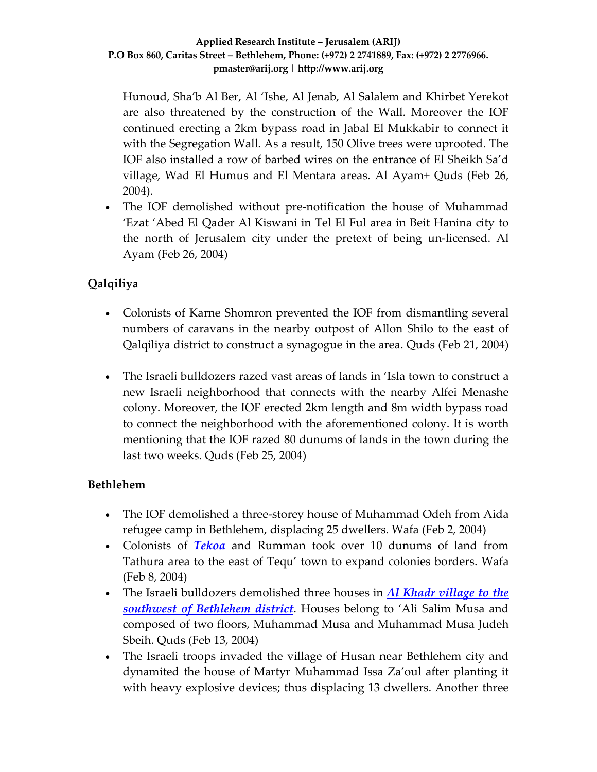Hunoud, Sha'b Al Ber, Al 'Ishe, Al Jenab, Al Salalem and Khirbet Yerekot are also threatened by the construction of the Wall. Moreover the IOF continued erecting a 2km bypass road in Jabal El Mukkabir to connect it with the Segregation Wall. As a result, 150 Olive trees were uprooted. The IOF also installed a row of barbed wires on the entrance of El Sheikh Sa'd village, Wad El Humus and El Mentara areas. Al Ayam+ Quds (Feb 26, 2004).

• The IOF demolished without pre-notification the house of Muhammad 'Ezat 'Abed El Qader Al Kiswani in Tel El Ful area in Beit Hanina city to the north of Jerusalem city under the pretext of being un‐licensed. Al Ayam (Feb 26, 2004)

# **Qalqiliya**

- Colonists of Karne Shomron prevented the IOF from dismantling several numbers of caravans in the nearby outpost of Allon Shilo to the east of Qalqiliya district to construct a synagogue in the area. Quds (Feb 21, 2004)
- The Israeli bulldozers razed vast areas of lands in 'Isla town to construct a new Israeli neighborhood that connects with the nearby Alfei Menashe colony. Moreover, the IOF erected 2km length and 8m width bypass road to connect the neighborhood with the aforementioned colony. It is worth mentioning that the IOF razed 80 dunums of lands in the town during the last two weeks. Quds (Feb 25, 2004)

### **Bethlehem**

- The IOF demolished a three-storey house of Muhammad Odeh from Aida refugee camp in Bethlehem, displacing 25 dwellers. Wafa (Feb 2, 2004)
- Colonists of *[Tekoa](http://www.poica.org/editor/case_studies/view.php?recordID=346)* and Rumman took over 10 dunums of land from Tathura area to the east of Tequ' town to expand colonies borders. Wafa (Feb 8, 2004)
- The Israeli bulldozers demolished three houses in *Al Khadr [village](http://www.poica.org/editor/case_studies/view.php?recordID=345) to the southwest of [Bethlehem](http://www.poica.org/editor/case_studies/view.php?recordID=345) district*. Houses belong to 'Ali Salim Musa and composed of two floors, Muhammad Musa and Muhammad Musa Judeh Sbeih. Quds (Feb 13, 2004)
- The Israeli troops invaded the village of Husan near Bethlehem city and dynamited the house of Martyr Muhammad Issa Za'oul after planting it with heavy explosive devices; thus displacing 13 dwellers. Another three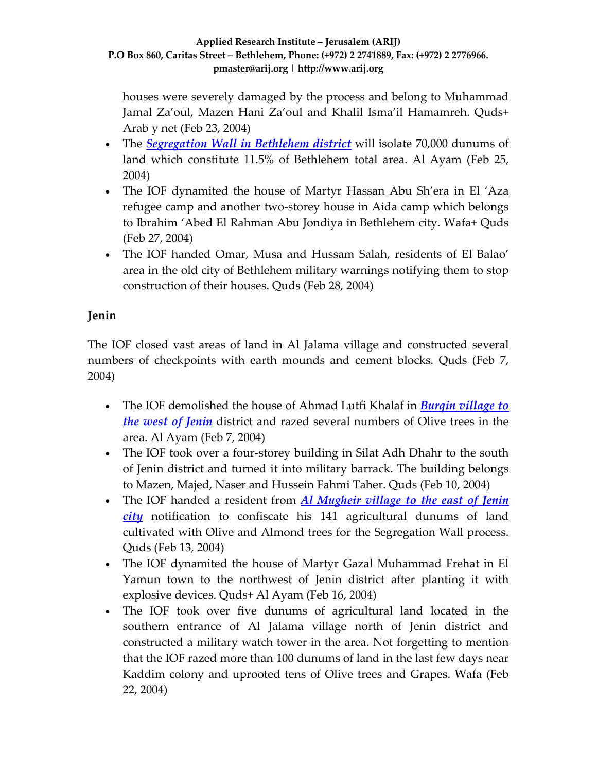houses were severely damaged by the process and belong to Muhammad Jamal Za'oul, Mazen Hani Za'oul and Khalil Isma'il Hamamreh. Quds+ Arab y net (Feb 23, 2004)

- The *[Segregation](http://www.poica.org/editor/case_studies/view.php?recordID=360) Wall in Bethlehem district* will isolate 70,000 dunums of land which constitute 11.5% of Bethlehem total area. Al Ayam (Feb 25, 2004)
- The IOF dynamited the house of Martyr Hassan Abu Sh'era in El 'Aza refugee camp and another two‐storey house in Aida camp which belongs to Ibrahim 'Abed El Rahman Abu Jondiya in Bethlehem city. Wafa+ Quds (Feb 27, 2004)
- The IOF handed Omar, Musa and Hussam Salah, residents of El Balao' area in the old city of Bethlehem military warnings notifying them to stop construction of their houses. Quds (Feb 28, 2004)

# **Jenin**

The IOF closed vast areas of land in Al Jalama village and constructed several numbers of checkpoints with earth mounds and cement blocks. Quds (Feb 7, 2004)

- The IOF demolished the house of Ahmad Lutfi Khalaf in *Burqin [village](http://www.poica.org/editor/case_studies/view.php?recordID=350) to the west of [Jenin](http://www.poica.org/editor/case_studies/view.php?recordID=350)* district and razed several numbers of Olive trees in the area. Al Ayam (Feb 7, 2004)
- The IOF took over a four-storey building in Silat Adh Dhahr to the south of Jenin district and turned it into military barrack. The building belongs to Mazen, Majed, Naser and Hussein Fahmi Taher. Quds (Feb 10, 2004)
- The IOF handed a resident from *Al [Mugheir](http://www.poica.org/editor/case_studies/view.php?recordID=322) village to the east of Jenin [city](http://www.poica.org/editor/case_studies/view.php?recordID=322)* notification to confiscate his 141 agricultural dunums of land cultivated with Olive and Almond trees for the Segregation Wall process. Quds (Feb 13, 2004)
- The IOF dynamited the house of Martyr Gazal Muhammad Frehat in El Yamun town to the northwest of Jenin district after planting it with explosive devices. Quds+ Al Ayam (Feb 16, 2004)
- The IOF took over five dunums of agricultural land located in the southern entrance of Al Jalama village north of Jenin district and constructed a military watch tower in the area. Not forgetting to mention that the IOF razed more than 100 dunums of land in the last few days near Kaddim colony and uprooted tens of Olive trees and Grapes. Wafa (Feb 22, 2004)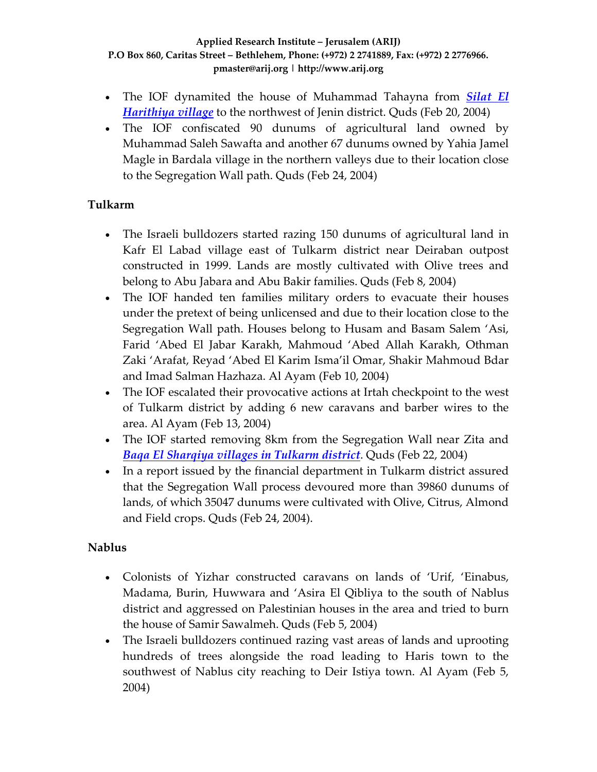- The IOF dynamited the house of Muhammad Tahayna from *[Silat](http://www.poica.org/editor/case_studies/view.php?recordID=342) El [Harithiya](http://www.poica.org/editor/case_studies/view.php?recordID=342) village* to the northwest of Jenin district. Quds (Feb 20, 2004)
- The IOF confiscated 90 dunums of agricultural land owned by Muhammad Saleh Sawafta and another 67 dunums owned by Yahia Jamel Magle in Bardala village in the northern valleys due to their location close to the Segregation Wall path. Quds (Feb 24, 2004)

### **Tulkarm**

- The Israeli bulldozers started razing 150 dunums of agricultural land in Kafr El Labad village east of Tulkarm district near Deiraban outpost constructed in 1999. Lands are mostly cultivated with Olive trees and belong to Abu Jabara and Abu Bakir families. Quds (Feb 8, 2004)
- The IOF handed ten families military orders to evacuate their houses under the pretext of being unlicensed and due to their location close to the Segregation Wall path. Houses belong to Husam and Basam Salem 'Asi, Farid 'Abed El Jabar Karakh, Mahmoud 'Abed Allah Karakh, Othman Zaki 'Arafat, Reyad 'Abed El Karim Isma'il Omar, Shakir Mahmoud Bdar and Imad Salman Hazhaza. Al Ayam (Feb 10, 2004)
- The IOF escalated their provocative actions at Irtah checkpoint to the west of Tulkarm district by adding 6 new caravans and barber wires to the area. Al Ayam (Feb 13, 2004)
- The IOF started removing 8km from the Segregation Wall near Zita and *Baqa El [Sharqiya](http://www.poica.org/editor/case_studies/view.php?recordID=356) villages in Tulkarm district*. Quds (Feb 22, 2004)
- In a report issued by the financial department in Tulkarm district assured that the Segregation Wall process devoured more than 39860 dunums of lands, of which 35047 dunums were cultivated with Olive, Citrus, Almond and Field crops. Quds (Feb 24, 2004).

# **Nablus**

- Colonists of Yizhar constructed caravans on lands of 'Urif, 'Einabus, Madama, Burin, Huwwara and 'Asira El Qibliya to the south of Nablus district and aggressed on Palestinian houses in the area and tried to burn the house of Samir Sawalmeh. Quds (Feb 5, 2004)
- The Israeli bulldozers continued razing vast areas of lands and uprooting hundreds of trees alongside the road leading to Haris town to the southwest of Nablus city reaching to Deir Istiya town. Al Ayam (Feb 5, 2004)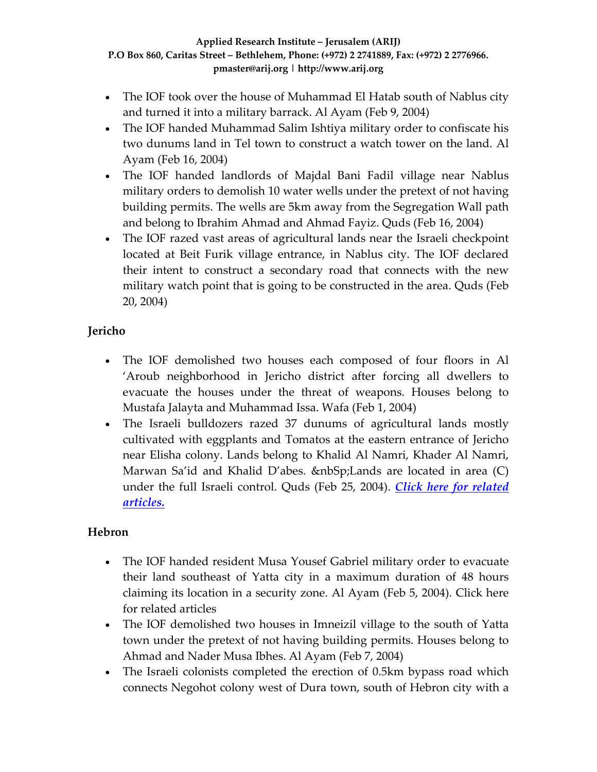- The IOF took over the house of Muhammad El Hatab south of Nablus city and turned it into a military barrack. Al Ayam (Feb 9, 2004)
- The IOF handed Muhammad Salim Ishtiya military order to confiscate his two dunums land in Tel town to construct a watch tower on the land. Al Ayam (Feb 16, 2004)
- The IOF handed landlords of Majdal Bani Fadil village near Nablus military orders to demolish 10 water wells under the pretext of not having building permits. The wells are 5km away from the Segregation Wall path and belong to Ibrahim Ahmad and Ahmad Fayiz. Quds (Feb 16, 2004)
- The IOF razed vast areas of agricultural lands near the Israeli checkpoint located at Beit Furik village entrance, in Nablus city. The IOF declared their intent to construct a secondary road that connects with the new military watch point that is going to be constructed in the area. Quds (Feb 20, 2004)

### **Jericho**

- The IOF demolished two houses each composed of four floors in Al 'Aroub neighborhood in Jericho district after forcing all dwellers to evacuate the houses under the threat of weapons. Houses belong to Mustafa Jalayta and Muhammad Issa. Wafa (Feb 1, 2004)
- The Israeli bulldozers razed 37 dunums of agricultural lands mostly cultivated with eggplants and Tomatos at the eastern entrance of Jericho near Elisha colony. Lands belong to Khalid Al Namri, Khader Al Namri, Marwan Sa'id and Khalid D'abes. &nbSp;Lands are located in area (C) under the full Israeli control. Quds (Feb 25, 2004). *Click here for [related](http://www.poica.org/editor/case_studies/view.php?recordID=344) [articles.](http://www.poica.org/editor/case_studies/view.php?recordID=344)*

### **Hebron**

- The IOF handed resident Musa Yousef Gabriel military order to evacuate their land southeast of Yatta city in a maximum duration of 48 hours claiming its location in a security zone. Al Ayam (Feb 5, 2004). Click here for related articles
- The IOF demolished two houses in Imneizil village to the south of Yatta town under the pretext of not having building permits. Houses belong to Ahmad and Nader Musa Ibhes. Al Ayam (Feb 7, 2004)
- The Israeli colonists completed the erection of 0.5km bypass road which connects Negohot colony west of Dura town, south of Hebron city with a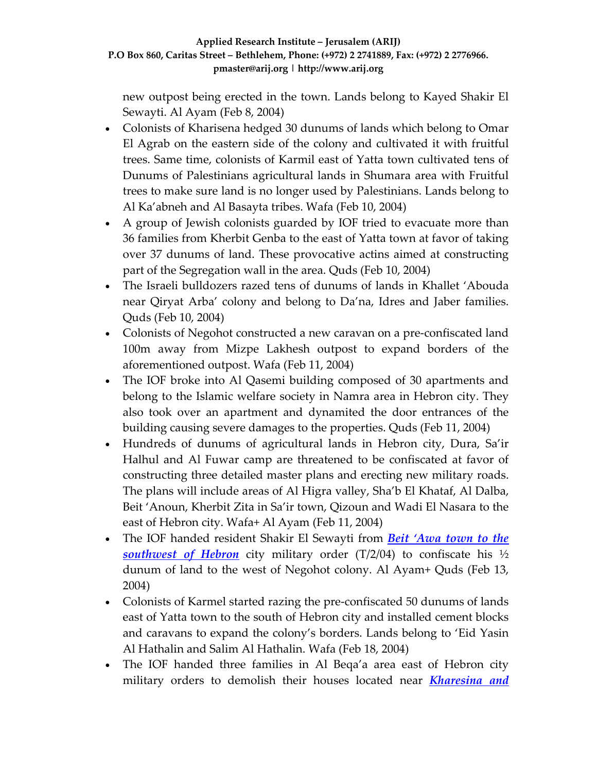new outpost being erected in the town. Lands belong to Kayed Shakir El Sewayti. Al Ayam (Feb 8, 2004)

- Colonists of Kharisena hedged 30 dunums of lands which belong to Omar El Agrab on the eastern side of the colony and cultivated it with fruitful trees. Same time, colonists of Karmil east of Yatta town cultivated tens of Dunums of Palestinians agricultural lands in Shumara area with Fruitful trees to make sure land is no longer used by Palestinians. Lands belong to Al Ka'abneh and Al Basayta tribes. Wafa (Feb 10, 2004)
- A group of Jewish colonists guarded by IOF tried to evacuate more than 36 families from Kherbit Genba to the east of Yatta town at favor of taking over 37 dunums of land. These provocative actins aimed at constructing part of the Segregation wall in the area. Quds (Feb 10, 2004)
- The Israeli bulldozers razed tens of dunums of lands in Khallet 'Abouda near Qiryat Arba' colony and belong to Da'na, Idres and Jaber families. Quds (Feb 10, 2004)
- Colonists of Negohot constructed a new caravan on a pre-confiscated land 100m away from Mizpe Lakhesh outpost to expand borders of the aforementioned outpost. Wafa (Feb 11, 2004)
- The IOF broke into Al Qasemi building composed of 30 apartments and belong to the Islamic welfare society in Namra area in Hebron city. They also took over an apartment and dynamited the door entrances of the building causing severe damages to the properties. Quds (Feb 11, 2004)
- Hundreds of dunums of agricultural lands in Hebron city, Dura, Sa'ir Halhul and Al Fuwar camp are threatened to be confiscated at favor of constructing three detailed master plans and erecting new military roads. The plans will include areas of Al Higra valley, Sha'b El Khataf, Al Dalba, Beit 'Anoun, Kherbit Zita in Sa'ir town, Qizoun and Wadi El Nasara to the east of Hebron city. Wafa+ Al Ayam (Feb 11, 2004)
- The IOF handed resident Shakir El Sewayti from *Beit ['Awa](http://www.poica.org/editor/case_studies/view.php?recordID=318) town to the [southwest](http://www.poica.org/editor/case_studies/view.php?recordID=318) of Hebron* city military order (T/2/04) to confiscate his ½ dunum of land to the west of Negohot colony. Al Ayam+ Quds (Feb 13, 2004)
- Colonists of Karmel started razing the pre-confiscated 50 dunums of lands east of Yatta town to the south of Hebron city and installed cement blocks and caravans to expand the colony's borders. Lands belong to 'Eid Yasin Al Hathalin and Salim Al Hathalin. Wafa (Feb 18, 2004)
- The IOF handed three families in Al Beqa'a area east of Hebron city military orders to demolish their houses located near *[Kharesina](http://www.poica.org/editor/case_studies/view.php?recordID=243) and*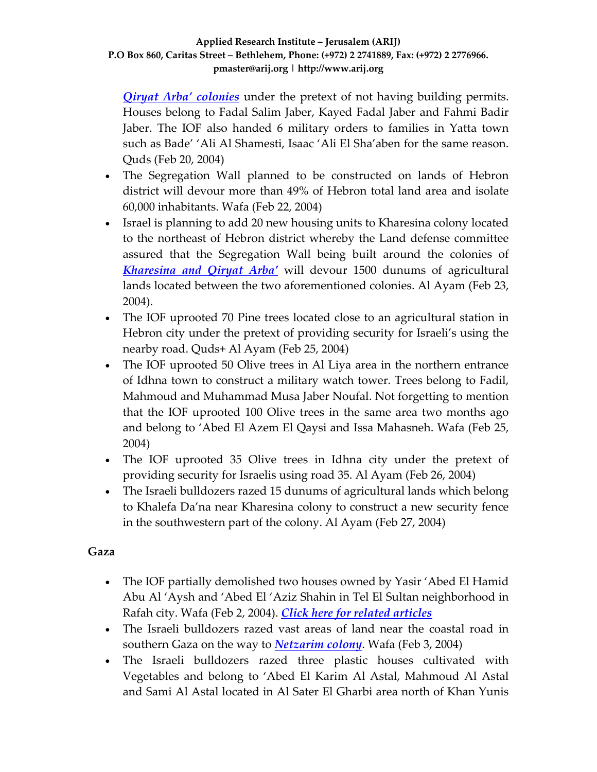*Qiryat Arba' [colonies](http://www.poica.org/editor/case_studies/view.php?recordID=243)* under the pretext of not having building permits. Houses belong to Fadal Salim Jaber, Kayed Fadal Jaber and Fahmi Badir Jaber. The IOF also handed 6 military orders to families in Yatta town such as Bade' 'Ali Al Shamesti, Isaac 'Ali El Sha'aben for the same reason. Quds (Feb 20, 2004)

- The Segregation Wall planned to be constructed on lands of Hebron district will devour more than 49% of Hebron total land area and isolate 60,000 inhabitants. Wafa (Feb 22, 2004)
- Israel is planning to add 20 new housing units to Kharesina colony located to the northeast of Hebron district whereby the Land defense committee assured that the Segregation Wall being built around the colonies of *[Kharesina](http://www.poica.org/editor/case_studies/view.php?recordID=318) and Qiryat Arba'* will devour 1500 dunums of agricultural lands located between the two aforementioned colonies. Al Ayam (Feb 23, 2004).
- The IOF uprooted 70 Pine trees located close to an agricultural station in Hebron city under the pretext of providing security for Israeli's using the nearby road. Quds+ Al Ayam (Feb 25, 2004)
- The IOF uprooted 50 Olive trees in Al Liya area in the northern entrance of Idhna town to construct a military watch tower. Trees belong to Fadil, Mahmoud and Muhammad Musa Jaber Noufal. Not forgetting to mention that the IOF uprooted 100 Olive trees in the same area two months ago and belong to 'Abed El Azem El Qaysi and Issa Mahasneh. Wafa (Feb 25, 2004)
- The IOF uprooted 35 Olive trees in Idhna city under the pretext of providing security for Israelis using road 35. Al Ayam (Feb 26, 2004)
- The Israeli bulldozers razed 15 dunums of agricultural lands which belong to Khalefa Da'na near Kharesina colony to construct a new security fence in the southwestern part of the colony. Al Ayam (Feb 27, 2004)

### **Gaza**

- The IOF partially demolished two houses owned by Yasir 'Abed El Hamid Abu Al 'Aysh and 'Abed El 'Aziz Shahin in Tel El Sultan neighborhood in Rafah city. Wafa (Feb 2, 2004). *Click here for related [articles](http://www.poica.org/editor/case_studies/view.php?recordID=307)*
- The Israeli bulldozers razed vast areas of land near the coastal road in southern Gaza on the way to *[Netzarim](http://www.poica.org/editor/case_studies/view.php?recordID=363) colony*. Wafa (Feb 3, 2004)
- The Israeli bulldozers razed three plastic houses cultivated with Vegetables and belong to 'Abed El Karim Al Astal, Mahmoud Al Astal and Sami Al Astal located in Al Sater El Gharbi area north of Khan Yunis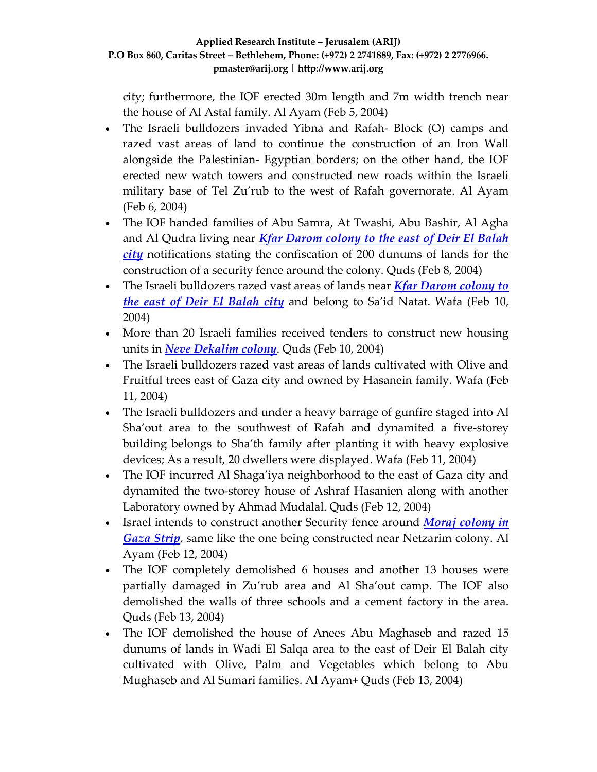city; furthermore, the IOF erected 30m length and 7m width trench near the house of Al Astal family. Al Ayam (Feb 5, 2004)

- The Israeli bulldozers invaded Yibna and Rafah- Block (O) camps and razed vast areas of land to continue the construction of an Iron Wall alongside the Palestinian‐ Egyptian borders; on the other hand, the IOF erected new watch towers and constructed new roads within the Israeli military base of Tel Zu'rub to the west of Rafah governorate. Al Ayam (Feb 6, 2004)
- The IOF handed families of Abu Samra, At Twashi, Abu Bashir, Al Agha and Al Qudra living near *Kfar [Darom](http://www.poica.org/editor/case_studies/view.php?recordID=354) colony to the east of Deir El Balah [city](http://www.poica.org/editor/case_studies/view.php?recordID=354)* notifications stating the confiscation of 200 dunums of lands for the construction of a security fence around the colony. Quds (Feb 8, 2004)
- The Israeli bulldozers razed vast areas of lands near *Kfar [Darom](http://www.poica.org/editor/case_studies/view.php?recordID=354) colony to the east of Deir El [Balah](http://www.poica.org/editor/case_studies/view.php?recordID=354) city* and belong to Sa'id Natat. Wafa (Feb 10, 2004)
- More than 20 Israeli families received tenders to construct new housing units in *Neve [Dekalim](http://www.poica.org/editor/case_studies/view.php?recordID=364) colony*. Quds (Feb 10, 2004)
- The Israeli bulldozers razed vast areas of lands cultivated with Olive and Fruitful trees east of Gaza city and owned by Hasanein family. Wafa (Feb 11, 2004)
- The Israeli bulldozers and under a heavy barrage of gunfire staged into Al Sha'out area to the southwest of Rafah and dynamited a five-storey building belongs to Sha'th family after planting it with heavy explosive devices; As a result, 20 dwellers were displayed. Wafa (Feb 11, 2004)
- The IOF incurred Al Shaga'iya neighborhood to the east of Gaza city and dynamited the two‐storey house of Ashraf Hasanien along with another Laboratory owned by Ahmad Mudalal. Quds (Feb 12, 2004)
- Israel intends to construct another Security fence around *Moraj [colony](http://www.poica.org/editor/case_studies/Moraj.jpg) in [Gaza](http://www.poica.org/editor/case_studies/Moraj.jpg) Strip*, same like the one being constructed near Netzarim colony. Al Ayam (Feb 12, 2004)
- The IOF completely demolished 6 houses and another 13 houses were partially damaged in Zu'rub area and Al Sha'out camp. The IOF also demolished the walls of three schools and a cement factory in the area. Quds (Feb 13, 2004)
- The IOF demolished the house of Anees Abu Maghaseb and razed 15 dunums of lands in Wadi El Salqa area to the east of Deir El Balah city cultivated with Olive, Palm and Vegetables which belong to Abu Mughaseb and Al Sumari families. Al Ayam+ Quds (Feb 13, 2004)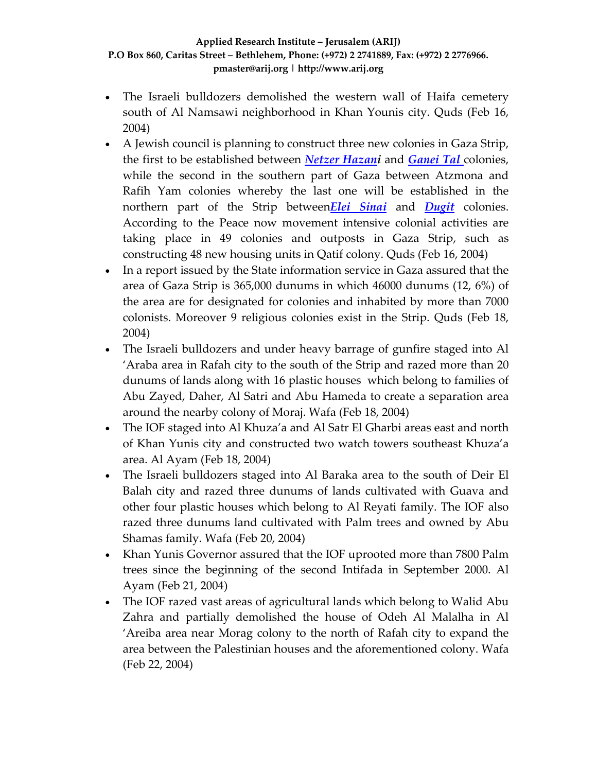- The Israeli bulldozers demolished the western wall of Haifa cemetery south of Al Namsawi neighborhood in Khan Younis city. Quds (Feb 16, 2004)
- A Jewish council is planning to construct three new colonies in Gaza Strip, the first to be established between *Netzer [Hazani](http://www.poica.org/editor/case_studies/Nezer%20Hazani.jpg)* and *[Ganei](http://www.poica.org/editor/case_studies/Ganne%20Tal.jpg) Tal* colonies, while the second in the southern part of Gaza between Atzmona and Rafih Yam colonies whereby the last one will be established in the northern part of the Strip between*Elei [Sinai](http://www.poica.org/editor/case_studies/Ele%20Sinai.jpg)* and *[Dugit](http://www.poica.org/editor/case_studies/Dugit.jpg)* colonies. According to the Peace now movement intensive colonial activities are taking place in 49 colonies and outposts in Gaza Strip, such as constructing 48 new housing units in Qatif colony. Quds (Feb 16, 2004)
- In a report issued by the State information service in Gaza assured that the area of Gaza Strip is 365,000 dunums in which 46000 dunums (12, 6%) of the area are for designated for colonies and inhabited by more than 7000 colonists. Moreover 9 religious colonies exist in the Strip. Quds (Feb 18, 2004)
- The Israeli bulldozers and under heavy barrage of gunfire staged into Al 'Araba area in Rafah city to the south of the Strip and razed more than 20 dunums of lands along with 16 plastic houses which belong to families of Abu Zayed, Daher, Al Satri and Abu Hameda to create a separation area around the nearby colony of Moraj. Wafa (Feb 18, 2004)
- The IOF staged into Al Khuza'a and Al Satr El Gharbi areas east and north of Khan Yunis city and constructed two watch towers southeast Khuza'a area. Al Ayam (Feb 18, 2004)
- The Israeli bulldozers staged into Al Baraka area to the south of Deir El Balah city and razed three dunums of lands cultivated with Guava and other four plastic houses which belong to Al Reyati family. The IOF also razed three dunums land cultivated with Palm trees and owned by Abu Shamas family. Wafa (Feb 20, 2004)
- Khan Yunis Governor assured that the IOF uprooted more than 7800 Palm trees since the beginning of the second Intifada in September 2000. Al Ayam (Feb 21, 2004)
- The IOF razed vast areas of agricultural lands which belong to Walid Abu Zahra and partially demolished the house of Odeh Al Malalha in Al 'Areiba area near Morag colony to the north of Rafah city to expand the area between the Palestinian houses and the aforementioned colony. Wafa (Feb 22, 2004)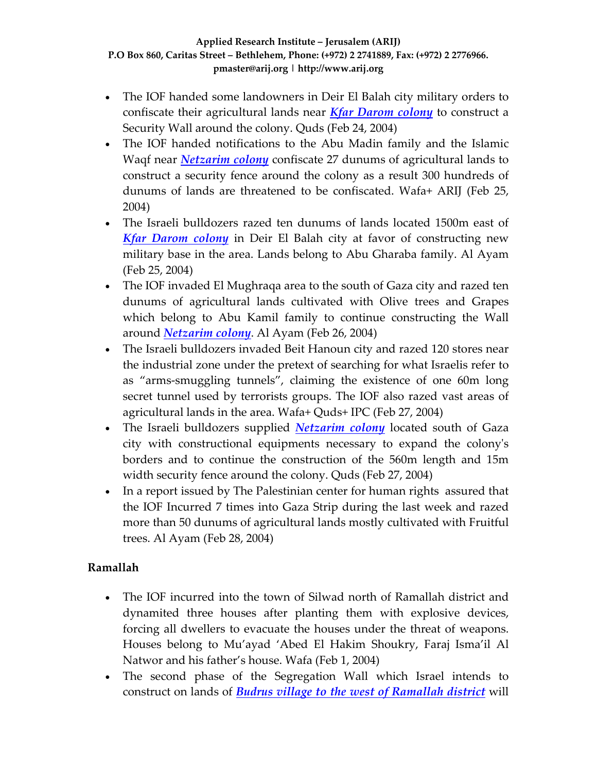- The IOF handed some landowners in Deir El Balah city military orders to confiscate their agricultural lands near *Kfar [Darom](http://www.poica.org/editor/case_studies/view.php?recordID=354) colony* to construct a Security Wall around the colony. Quds (Feb 24, 2004)
- The IOF handed notifications to the Abu Madin family and the Islamic Waqf near *[Netzarim](http://www.poica.org/editor/case_studies/view.php?recordID=363) colony* confiscate 27 dunums of agricultural lands to construct a security fence around the colony as a result 300 hundreds of dunums of lands are threatened to be confiscated. Wafa+ ARIJ (Feb 25, 2004)
- The Israeli bulldozers razed ten dunums of lands located 1500m east of *Kfar [Darom](http://www.poica.org/editor/case_studies/Kfar%20Darum.jpg) colony* in Deir El Balah city at favor of constructing new military base in the area. Lands belong to Abu Gharaba family. Al Ayam (Feb 25, 2004)
- The IOF invaded El Mughraqa area to the south of Gaza city and razed ten dunums of agricultural lands cultivated with Olive trees and Grapes which belong to Abu Kamil family to continue constructing the Wall around *[Netzarim](http://www.poica.org/editor/case_studies/view.php?recordID=363) colony*. Al Ayam (Feb 26, 2004)
- The Israeli bulldozers invaded Beit Hanoun city and razed 120 stores near the industrial zone under the pretext of searching for what Israelis refer to as "arms‐smuggling tunnels", claiming the existence of one 60m long secret tunnel used by terrorists groups. The IOF also razed vast areas of agricultural lands in the area. Wafa+ Quds+ IPC (Feb 27, 2004)
- The Israeli bulldozers supplied *[Netzarim](http://www.poica.org/editor/case_studies/Netzarim%20pic.jpg) colony* located south of Gaza city with constructional equipments necessary to expand the colonyʹs borders and to continue the construction of the 560m length and 15m width security fence around the colony. Quds (Feb 27, 2004)
- In a report issued by The Palestinian center for human rights assured that the IOF Incurred 7 times into Gaza Strip during the last week and razed more than 50 dunums of agricultural lands mostly cultivated with Fruitful trees. Al Ayam (Feb 28, 2004)

### **Ramallah**

- The IOF incurred into the town of Silwad north of Ramallah district and dynamited three houses after planting them with explosive devices, forcing all dwellers to evacuate the houses under the threat of weapons. Houses belong to Mu'ayad 'Abed El Hakim Shoukry, Faraj Isma'il Al Natwor and his father's house. Wafa (Feb 1, 2004)
- The second phase of the Segregation Wall which Israel intends to construct on lands of *Budrus village to the west of [Ramallah](http://www.poica.org/editor/case_studies/view.php?recordID=335) district* will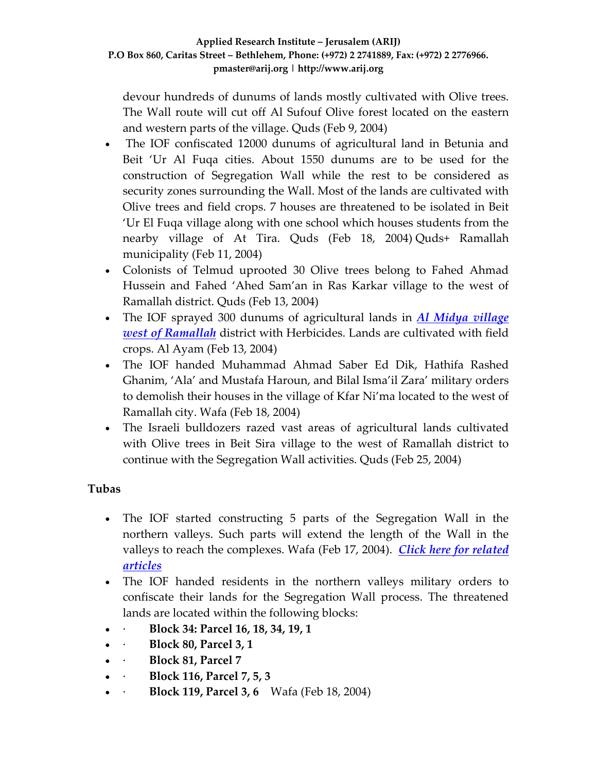devour hundreds of dunums of lands mostly cultivated with Olive trees. The Wall route will cut off Al Sufouf Olive forest located on the eastern and western parts of the village. Quds (Feb 9, 2004)

- The IOF confiscated 12000 dunums of agricultural land in Betunia and Beit 'Ur Al Fuqa cities. About 1550 dunums are to be used for the construction of Segregation Wall while the rest to be considered as security zones surrounding the Wall. Most of the lands are cultivated with Olive trees and field crops. 7 houses are threatened to be isolated in Beit 'Ur El Fuqa village along with one school which houses students from the nearby village of At Tira. Quds (Feb 18, 2004) Quds+ Ramallah municipality (Feb 11, 2004)
- Colonists of Telmud uprooted 30 Olive trees belong to Fahed Ahmad Hussein and Fahed 'Ahed Sam'an in Ras Karkar village to the west of Ramallah district. Quds (Feb 13, 2004)
- The IOF sprayed 300 dunums of agricultural lands in *Al Midya [village](http://www.poica.org/editor/case_studies/view.php?recordID=285) west of [Ramallah](http://www.poica.org/editor/case_studies/view.php?recordID=285)* district with Herbicides. Lands are cultivated with field crops. Al Ayam (Feb 13, 2004)
- The IOF handed Muhammad Ahmad Saber Ed Dik, Hathifa Rashed Ghanim, 'Ala' and Mustafa Haroun, and Bilal Isma'il Zara' military orders to demolish their houses in the village of Kfar Ni'ma located to the west of Ramallah city. Wafa (Feb 18, 2004)
- The Israeli bulldozers razed vast areas of agricultural lands cultivated with Olive trees in Beit Sira village to the west of Ramallah district to continue with the Segregation Wall activities. Quds (Feb 25, 2004)

# **Tubas**

- The IOF started constructing 5 parts of the Segregation Wall in the northern valleys. Such parts will extend the length of the Wall in the valleys to reach the complexes. Wafa (Feb 17, 2004). *Click here for [related](http://www.poica.org/editor/case_studies/view.php?recordID=322) [articles](http://www.poica.org/editor/case_studies/view.php?recordID=322)*
- The IOF handed residents in the northern valleys military orders to confiscate their lands for the Segregation Wall process. The threatened lands are located within the following blocks:
- ∙ **Block 34: Parcel 16, 18, 34, 19, 1**
- ∙ **Block 80, Parcel 3, 1**
- ∙ **Block 81, Parcel 7**
- ∙ **Block 116, Parcel 7, 5, 3**
- ∙ **Block 119, Parcel 3, 6** Wafa (Feb 18, 2004)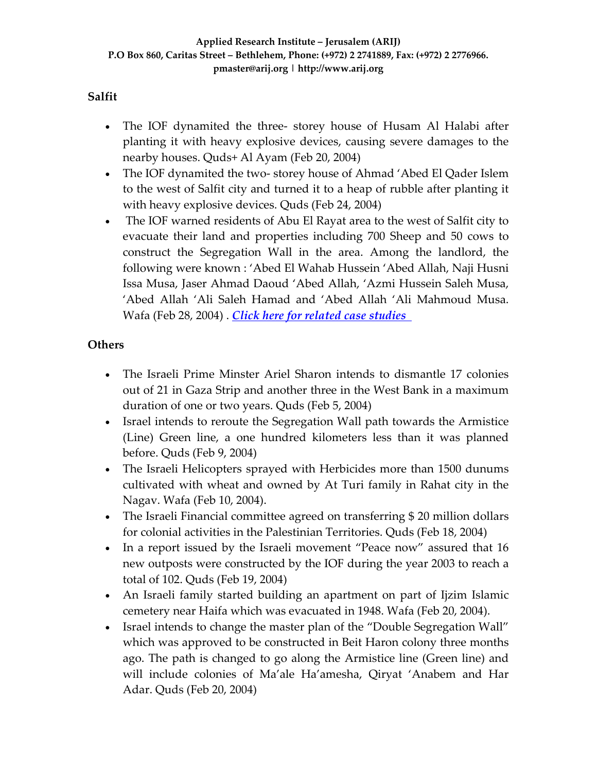### **Salfit**

- The IOF dynamited the three- storey house of Husam Al Halabi after planting it with heavy explosive devices, causing severe damages to the nearby houses. Quds+ Al Ayam (Feb 20, 2004)
- The IOF dynamited the two-storey house of Ahmad 'Abed El Qader Islem to the west of Salfit city and turned it to a heap of rubble after planting it with heavy explosive devices. Quds (Feb 24, 2004)
- The IOF warned residents of Abu El Rayat area to the west of Salfit city to evacuate their land and properties including 700 Sheep and 50 cows to construct the Segregation Wall in the area. Among the landlord, the following were known : 'Abed El Wahab Hussein 'Abed Allah, Naji Husni Issa Musa, Jaser Ahmad Daoud 'Abed Allah, 'Azmi Hussein Saleh Musa, 'Abed Allah 'Ali Saleh Hamad and 'Abed Allah 'Ali Mahmoud Musa. Wafa (Feb 28, 2004) . *Click here for related case [studies](http://www.poica.org/editor/case_studies/view.php?recordID=330)*

### **Others**

- The Israeli Prime Minster Ariel Sharon intends to dismantle 17 colonies out of 21 in Gaza Strip and another three in the West Bank in a maximum duration of one or two years. Quds (Feb 5, 2004)
- Israel intends to reroute the Segregation Wall path towards the Armistice (Line) Green line, a one hundred kilometers less than it was planned before. Quds (Feb 9, 2004)
- The Israeli Helicopters sprayed with Herbicides more than 1500 dunums cultivated with wheat and owned by At Turi family in Rahat city in the Nagav. Wafa (Feb 10, 2004).
- The Israeli Financial committee agreed on transferring \$20 million dollars for colonial activities in the Palestinian Territories. Quds (Feb 18, 2004)
- In a report issued by the Israeli movement "Peace now" assured that 16 new outposts were constructed by the IOF during the year 2003 to reach a total of 102. Quds (Feb 19, 2004)
- An Israeli family started building an apartment on part of Ijzim Islamic cemetery near Haifa which was evacuated in 1948. Wafa (Feb 20, 2004).
- Israel intends to change the master plan of the "Double Segregation Wall" which was approved to be constructed in Beit Haron colony three months ago. The path is changed to go along the Armistice line (Green line) and will include colonies of Ma'ale Ha'amesha, Qiryat 'Anabem and Har Adar. Quds (Feb 20, 2004)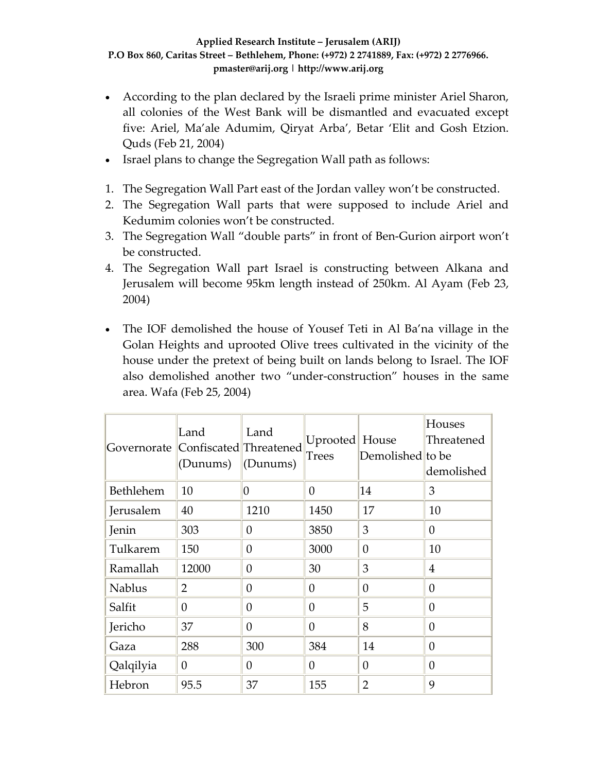- According to the plan declared by the Israeli prime minister Ariel Sharon, all colonies of the West Bank will be dismantled and evacuated except five: Ariel, Ma'ale Adumim, Qiryat Arba', Betar 'Elit and Gosh Etzion. Quds (Feb 21, 2004)
- Israel plans to change the Segregation Wall path as follows:
- 1. The Segregation Wall Part east of the Jordan valley won't be constructed.
- 2. The Segregation Wall parts that were supposed to include Ariel and Kedumim colonies won't be constructed.
- 3. The Segregation Wall "double parts" in front of Ben‐Gurion airport won't be constructed.
- 4. The Segregation Wall part Israel is constructing between Alkana and Jerusalem will become 95km length instead of 250km. Al Ayam (Feb 23, 2004)
- The IOF demolished the house of Yousef Teti in Al Ba'na village in the Golan Heights and uprooted Olive trees cultivated in the vicinity of the house under the pretext of being built on lands belong to Israel. The IOF also demolished another two "under‐construction" houses in the same area. Wafa (Feb 25, 2004)

| Governorate Confiscated Threatened | Land<br>(Dunums) | Land<br>(Dunums) | Uprooted House<br>Trees | Demolished to be | Houses<br>Threatened<br>demolished |
|------------------------------------|------------------|------------------|-------------------------|------------------|------------------------------------|
| Bethlehem                          | 10               | O                | $\Omega$                | 14               | 3                                  |
| Jerusalem                          | 40               | 1210             | 1450                    | 17               | 10                                 |
| Jenin                              | 303              | $\theta$         | 3850                    | 3                | $\theta$                           |
| Tulkarem                           | 150              | $\theta$         | 3000                    | $\overline{0}$   | 10                                 |
| Ramallah                           | 12000            | $\theta$         | 30                      | 3                | $\overline{4}$                     |
| <b>Nablus</b>                      | $\overline{2}$   | $\theta$         | $\Omega$                | $\theta$         | $\theta$                           |
| Salfit                             | 0                | $\theta$         | $\theta$                | 5                | $\theta$                           |
| Jericho                            | 37               | $\theta$         | $\Omega$                | 8                | $\theta$                           |
| Gaza                               | 288              | 300              | 384                     | 14               | $\Omega$                           |
| Qalqilyia                          | $\theta$         | 0                | $\Omega$                | $\theta$         | $\theta$                           |
| Hebron                             | 95.5             | 37               | 155                     | $\overline{2}$   | 9                                  |